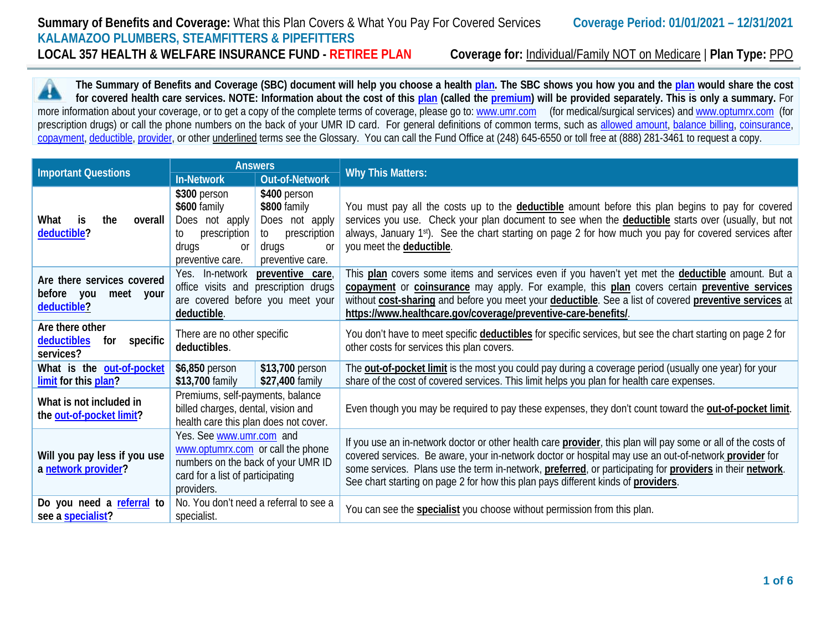**The Summary of Benefits and Coverage (SBC) document will help you choose a health [plan.](https://www.healthcare.gov/sbc-glossary/#plan) The SBC shows you how you and the [plan](https://www.healthcare.gov/sbc-glossary/#plan) would share the cost**  ▲ **for covered health care services. NOTE: Information about the cost of this [plan](https://www.healthcare.gov/sbc-glossary/#plan) (called the [premium\)](https://www.healthcare.gov/sbc-glossary/#premium) will be provided separately. This is only a summary.** For more information about your coverage, or to get a copy of the complete terms of coverage, please go to: [www.umr.com](http://www.umr.com/) (for medical/surgical services) and [www.optumrx.com](http://www.optumrx.com/) (for prescription drugs) or call the phone numbers on the back of your UMR ID card. For general definitions of common terms, such as [allowed amount,](https://www.healthcare.gov/sbc-glossary/#allowed-amount) [balance billing,](https://www.healthcare.gov/sbc-glossary/#balance-billing) coinsurance, [copayment,](https://www.healthcare.gov/sbc-glossary/#copayment) [deductible,](https://www.healthcare.gov/sbc-glossary/#deductible) [provider,](https://www.healthcare.gov/sbc-glossary/#provider) or other underlined terms see the Glossary. You can call the Fund Office at (248) 645-6550 or toll free at (888) 281-3461 to request a copy.

|                                                                                                                                                                                                           |                                                                                                                 | <b>Answers</b>                                                                                       | <b>Why This Matters:</b>                                                                                                                                                                                                                                                                                                                                                                                                 |  |  |  |  |
|-----------------------------------------------------------------------------------------------------------------------------------------------------------------------------------------------------------|-----------------------------------------------------------------------------------------------------------------|------------------------------------------------------------------------------------------------------|--------------------------------------------------------------------------------------------------------------------------------------------------------------------------------------------------------------------------------------------------------------------------------------------------------------------------------------------------------------------------------------------------------------------------|--|--|--|--|
| <b>Important Questions</b>                                                                                                                                                                                | Out-of-Network<br><b>In-Network</b>                                                                             |                                                                                                      |                                                                                                                                                                                                                                                                                                                                                                                                                          |  |  |  |  |
| What<br>the<br>is<br>overall<br>deductible?                                                                                                                                                               | \$300 person<br>\$600 family<br>Does not apply<br>prescription<br>to<br>drugs<br>0r<br>preventive care.         | \$400 person<br>\$800 family<br>Does not apply<br>to prescription<br>drugs<br>nr<br>preventive care. | You must pay all the costs up to the <b>deductible</b> amount before this plan begins to pay for covered<br>services you use. Check your plan document to see when the <b>deductible</b> starts over (usually, but not<br>always, January 1st). See the chart starting on page 2 for how much you pay for covered services after<br>you meet the deductible.                                                             |  |  |  |  |
| Yes. In-network<br>preventive care,<br>Are there services covered<br>office visits and prescription drugs<br>before you<br>meet<br>your<br>are covered before you meet your<br>deductible?<br>deductible. |                                                                                                                 |                                                                                                      | This plan covers some items and services even if you haven't yet met the <b>deductible</b> amount. But a<br>copayment or coinsurance may apply. For example, this plan covers certain preventive services<br>without cost-sharing and before you meet your deductible. See a list of covered preventive services at<br>https://www.healthcare.gov/coverage/preventive-care-benefits/                                     |  |  |  |  |
| Are there other<br>deductibles<br>for specific<br>services?                                                                                                                                               | There are no other specific<br>deductibles.                                                                     |                                                                                                      | You don't have to meet specific deductibles for specific services, but see the chart starting on page 2 for<br>other costs for services this plan covers.                                                                                                                                                                                                                                                                |  |  |  |  |
| What is the out-of-pocket<br>limit for this plan?                                                                                                                                                         | \$6,850 person<br>\$13,700 family                                                                               | \$13,700 person<br>\$27,400 family                                                                   | The <b>out-of-pocket limit</b> is the most you could pay during a coverage period (usually one year) for your<br>share of the cost of covered services. This limit helps you plan for health care expenses.                                                                                                                                                                                                              |  |  |  |  |
| What is not included in<br>the out-of-pocket limit?                                                                                                                                                       | Premiums, self-payments, balance<br>billed charges, dental, vision and<br>health care this plan does not cover. |                                                                                                      | Even though you may be required to pay these expenses, they don't count toward the out-of-pocket limit.                                                                                                                                                                                                                                                                                                                  |  |  |  |  |
| Will you pay less if you use<br>a network provider?                                                                                                                                                       | Yes. See www.umr.com and<br>www.optumrx.com or call the phone<br>card for a list of participating<br>providers. | numbers on the back of your UMR ID                                                                   | If you use an in-network doctor or other health care provider, this plan will pay some or all of the costs of<br>covered services. Be aware, your in-network doctor or hospital may use an out-of-network provider for<br>some services. Plans use the term in-network, preferred, or participating for providers in their network.<br>See chart starting on page 2 for how this plan pays different kinds of providers. |  |  |  |  |
| Do you need a referral to<br>see a specialist?                                                                                                                                                            | specialist.                                                                                                     | No. You don't need a referral to see a                                                               | You can see the <b>specialist</b> you choose without permission from this plan.                                                                                                                                                                                                                                                                                                                                          |  |  |  |  |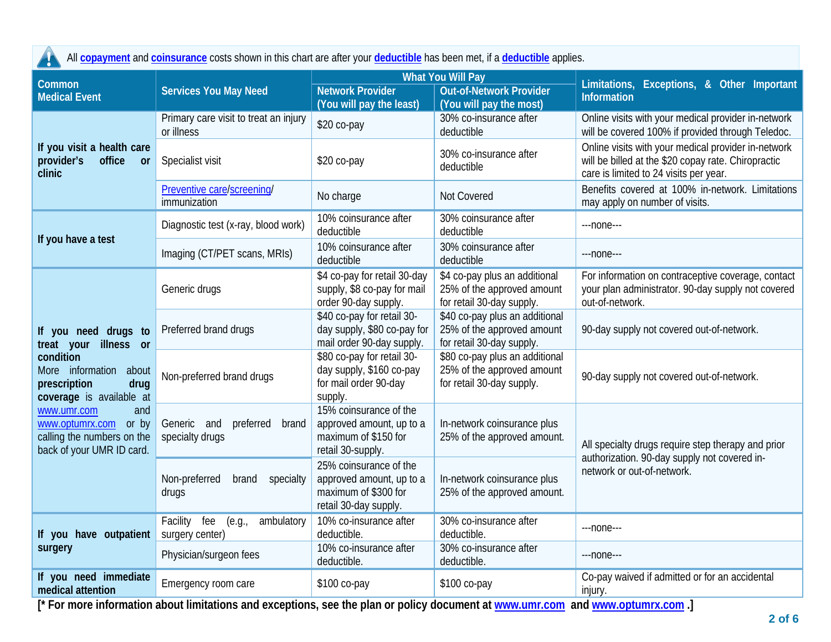All **[copayment](https://www.healthcare.gov/sbc-glossary/#copayment)** and **[coinsurance](https://www.healthcare.gov/sbc-glossary/#coinsurance)** costs shown in this chart are after your **[deductible](https://www.healthcare.gov/sbc-glossary/#deductible)** has been met, if a **[deductible](https://www.healthcare.gov/sbc-glossary/#deductible)** applies. Ч

| Common                                                                                                 |                                                         |                                                                                                     | <b>What You Will Pay</b>                                                                  | Limitations, Exceptions, & Other Important<br><b>Information</b>                                                                                     |  |  |
|--------------------------------------------------------------------------------------------------------|---------------------------------------------------------|-----------------------------------------------------------------------------------------------------|-------------------------------------------------------------------------------------------|------------------------------------------------------------------------------------------------------------------------------------------------------|--|--|
| <b>Medical Event</b>                                                                                   | <b>Services You May Need</b>                            | <b>Network Provider</b>                                                                             | <b>Out-of-Network Provider</b>                                                            |                                                                                                                                                      |  |  |
|                                                                                                        |                                                         | (You will pay the least)                                                                            | (You will pay the most)                                                                   |                                                                                                                                                      |  |  |
|                                                                                                        | Primary care visit to treat an injury<br>or illness     | \$20 co-pay                                                                                         | 30% co-insurance after<br>deductible                                                      | Online visits with your medical provider in-network<br>will be covered 100% if provided through Teledoc.                                             |  |  |
| If you visit a health care<br>provider's<br>office<br>or<br>clinic                                     | Specialist visit                                        | \$20 co-pay                                                                                         | 30% co-insurance after<br>deductible                                                      | Online visits with your medical provider in-network<br>will be billed at the \$20 copay rate. Chiropractic<br>care is limited to 24 visits per year. |  |  |
|                                                                                                        | Preventive care/screening/<br>immunization              | No charge                                                                                           | Not Covered                                                                               | Benefits covered at 100% in-network. Limitations<br>may apply on number of visits.                                                                   |  |  |
| If you have a test                                                                                     | Diagnostic test (x-ray, blood work)                     | 10% coinsurance after<br>deductible                                                                 | 30% coinsurance after<br>deductible                                                       | ---none---                                                                                                                                           |  |  |
|                                                                                                        | Imaging (CT/PET scans, MRIs)                            | 10% coinsurance after<br>deductible                                                                 | 30% coinsurance after<br>deductible                                                       | ---none---                                                                                                                                           |  |  |
|                                                                                                        | Generic drugs                                           | \$4 co-pay for retail 30-day<br>supply, \$8 co-pay for mail<br>order 90-day supply.                 | \$4 co-pay plus an additional<br>25% of the approved amount<br>for retail 30-day supply.  | For information on contraceptive coverage, contact<br>your plan administrator. 90-day supply not covered<br>out-of-network.                          |  |  |
| If you need drugs to<br>treat your illness or                                                          | Preferred brand drugs                                   | \$40 co-pay for retail 30-<br>day supply, \$80 co-pay for<br>mail order 90-day supply.              | \$40 co-pay plus an additional<br>25% of the approved amount<br>for retail 30-day supply. | 90-day supply not covered out-of-network.                                                                                                            |  |  |
| condition<br>More information<br>about<br>drug<br>prescription<br>coverage is available at             | Non-preferred brand drugs                               | \$80 co-pay for retail 30-<br>day supply, \$160 co-pay<br>for mail order 90-day<br>supply.          | \$80 co-pay plus an additional<br>25% of the approved amount<br>for retail 30-day supply. | 90-day supply not covered out-of-network.                                                                                                            |  |  |
| www.umr.com<br>and<br>www.optumrx.com or by<br>calling the numbers on the<br>back of your UMR ID card. | Generic and<br>preferred<br>brand<br>specialty drugs    | 15% coinsurance of the<br>approved amount, up to a<br>maximum of \$150 for<br>retail 30-supply.     | In-network coinsurance plus<br>25% of the approved amount.                                | All specialty drugs require step therapy and prior<br>authorization. 90-day supply not covered in-                                                   |  |  |
|                                                                                                        | Non-preferred<br>specialty<br>brand<br>drugs            | 25% coinsurance of the<br>approved amount, up to a<br>maximum of \$300 for<br>retail 30-day supply. | In-network coinsurance plus<br>25% of the approved amount.                                | network or out-of-network.                                                                                                                           |  |  |
| If you have outpatient                                                                                 | Facility fee<br>ambulatory<br>(e.g.,<br>surgery center) | 10% co-insurance after<br>deductible.                                                               | 30% co-insurance after<br>deductible.                                                     | ---none---                                                                                                                                           |  |  |
| surgery                                                                                                | Physician/surgeon fees                                  | 10% co-insurance after<br>deductible.                                                               | 30% co-insurance after<br>deductible.                                                     | $---none---$                                                                                                                                         |  |  |
| If you need immediate<br>medical attention                                                             | Emergency room care                                     | \$100 co-pay                                                                                        | \$100 co-pay                                                                              | Co-pay waived if admitted or for an accidental<br>injury.                                                                                            |  |  |

**[\* For more information about limitations and exceptions, see the plan or policy document at [www.umr.com](http://www.umr.com/) and [www.optumrx.com](http://www.optumrx.com/) .]**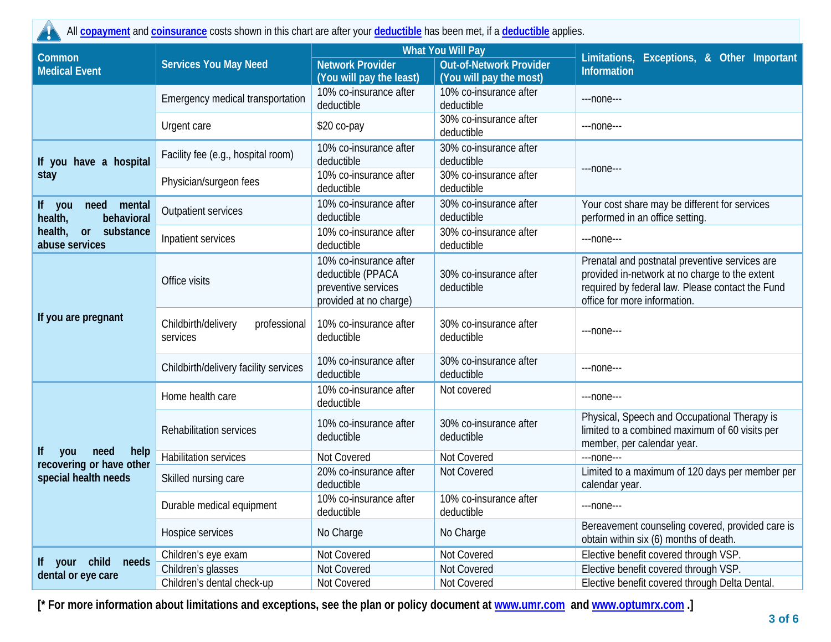All **[copayment](https://www.healthcare.gov/sbc-glossary/#copayment)** and **[coinsurance](https://www.healthcare.gov/sbc-glossary/#coinsurance)** costs shown in this chart are after your **[deductible](https://www.healthcare.gov/sbc-glossary/#deductible)** has been met, if a **[deductible](https://www.healthcare.gov/sbc-glossary/#deductible)** applies.

|                                                       |                                                 |                                                                                              | <b>What You Will Pay</b>                                  |                                                                                                                                                                                      |  |  |
|-------------------------------------------------------|-------------------------------------------------|----------------------------------------------------------------------------------------------|-----------------------------------------------------------|--------------------------------------------------------------------------------------------------------------------------------------------------------------------------------------|--|--|
| Common<br><b>Medical Event</b>                        | <b>Services You May Need</b>                    | <b>Network Provider</b><br>(You will pay the least)                                          | <b>Out-of-Network Provider</b><br>(You will pay the most) | Limitations, Exceptions, & Other Important<br>Information                                                                                                                            |  |  |
|                                                       | Emergency medical transportation                | 10% co-insurance after<br>deductible                                                         | 10% co-insurance after<br>deductible                      | ---none---                                                                                                                                                                           |  |  |
|                                                       | Urgent care                                     | \$20 co-pay                                                                                  | 30% co-insurance after<br>deductible                      | $---$ none $---$                                                                                                                                                                     |  |  |
| If you have a hospital                                | Facility fee (e.g., hospital room)              | 10% co-insurance after<br>deductible                                                         | 30% co-insurance after<br>deductible                      |                                                                                                                                                                                      |  |  |
| stay                                                  | Physician/surgeon fees                          | 10% co-insurance after<br>deductible                                                         | 30% co-insurance after<br>deductible                      | $--none--$                                                                                                                                                                           |  |  |
| If you<br>mental<br>need<br>health,<br>behavioral     | Outpatient services                             | 10% co-insurance after<br>deductible                                                         | 30% co-insurance after<br>deductible                      | Your cost share may be different for services<br>performed in an office setting.                                                                                                     |  |  |
| health,<br>substance<br>or<br>abuse services          | Inpatient services                              | 10% co-insurance after<br>deductible                                                         | 30% co-insurance after<br>deductible                      | ---none---                                                                                                                                                                           |  |  |
|                                                       | Office visits                                   | 10% co-insurance after<br>deductible (PPACA<br>preventive services<br>provided at no charge) | 30% co-insurance after<br>deductible                      | Prenatal and postnatal preventive services are<br>provided in-network at no charge to the extent<br>required by federal law. Please contact the Fund<br>office for more information. |  |  |
| If you are pregnant                                   | Childbirth/delivery<br>professional<br>services | 10% co-insurance after<br>deductible                                                         | 30% co-insurance after<br>deductible                      | ---none---                                                                                                                                                                           |  |  |
|                                                       | Childbirth/delivery facility services           | 10% co-insurance after<br>deductible                                                         | 30% co-insurance after<br>deductible                      | ---none---                                                                                                                                                                           |  |  |
|                                                       | Home health care                                | 10% co-insurance after<br>deductible                                                         | Not covered                                               | $---$ none $---$                                                                                                                                                                     |  |  |
|                                                       | Rehabilitation services                         | 10% co-insurance after<br>deductible                                                         | 30% co-insurance after<br>deductible                      | Physical, Speech and Occupational Therapy is<br>limited to a combined maximum of 60 visits per<br>member, per calendar year.                                                         |  |  |
| lf<br>help<br>need<br>you<br>recovering or have other | <b>Habilitation services</b>                    | Not Covered                                                                                  | Not Covered                                               | $---none---$                                                                                                                                                                         |  |  |
| special health needs                                  | Skilled nursing care                            | 20% co-insurance after<br>deductible                                                         | Not Covered                                               | Limited to a maximum of 120 days per member per<br>calendar year.                                                                                                                    |  |  |
|                                                       | Durable medical equipment                       | 10% co-insurance after<br>deductible                                                         | 10% co-insurance after<br>deductible                      | ---none---                                                                                                                                                                           |  |  |
|                                                       | Hospice services                                | No Charge                                                                                    | No Charge                                                 | Bereavement counseling covered, provided care is<br>obtain within six (6) months of death.                                                                                           |  |  |
|                                                       | Children's eye exam                             | Not Covered                                                                                  | Not Covered                                               | Elective benefit covered through VSP.                                                                                                                                                |  |  |
| If your child<br>needs<br>dental or eye care          | Children's glasses                              | Not Covered                                                                                  | Not Covered                                               | Elective benefit covered through VSP.                                                                                                                                                |  |  |
|                                                       | Children's dental check-up                      | Not Covered                                                                                  | Not Covered                                               | Elective benefit covered through Delta Dental.                                                                                                                                       |  |  |

**[\* For more information about limitations and exceptions, see the plan or policy document at [www.umr.com](http://www.umr.com/) and [www.optumrx.com](http://www.optumrx.com/) .]**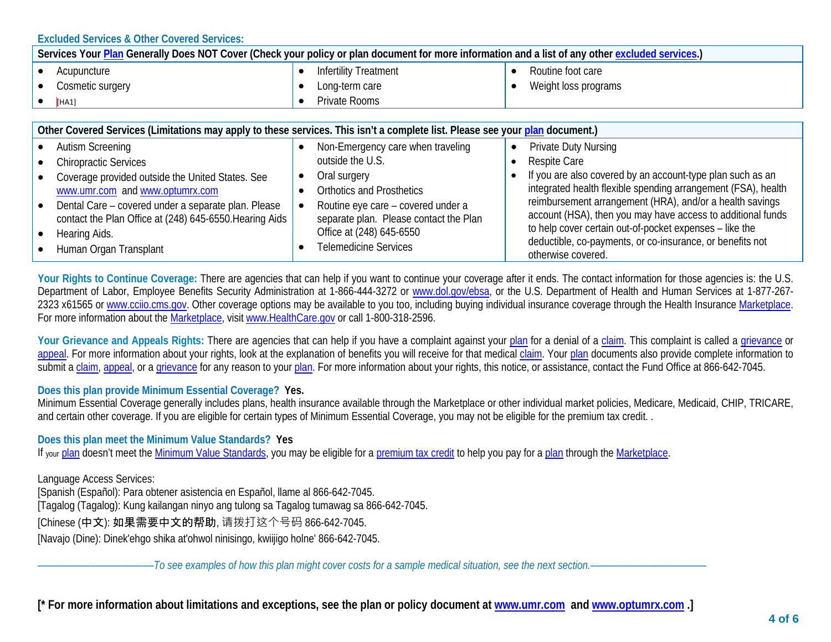**Excluded Services & Other Covered Services:**

| Services Your Plan Generally Does NOT Cover (Check your policy or plan document for more information and a list of any other excluded services.) |                  |  |                              |  |                      |  |
|--------------------------------------------------------------------------------------------------------------------------------------------------|------------------|--|------------------------------|--|----------------------|--|
|                                                                                                                                                  | Acupuncture      |  | <b>Infertility Treatment</b> |  | Routine foot care    |  |
|                                                                                                                                                  | Cosmetic surgery |  | Long-term care               |  | Weight loss programs |  |
|                                                                                                                                                  | [HA1]            |  | Private Rooms                |  |                      |  |

|           | Other Covered Services (Limitations may apply to these services. This isn't a complete list. Please see your plan document.) |  |                                        |  |                                                                                                                         |  |  |  |
|-----------|------------------------------------------------------------------------------------------------------------------------------|--|----------------------------------------|--|-------------------------------------------------------------------------------------------------------------------------|--|--|--|
|           | • Autism Screening                                                                                                           |  | Non-Emergency care when traveling      |  | <b>Private Duty Nursing</b>                                                                                             |  |  |  |
|           | • Chiropractic Services                                                                                                      |  | outside the U.S.                       |  | Respite Care                                                                                                            |  |  |  |
|           | • Coverage provided outside the United States. See                                                                           |  | Oral surgery                           |  | If you are also covered by an account-type plan such as an                                                              |  |  |  |
|           | www.umr.com and www.optumrx.com                                                                                              |  | <b>Orthotics and Prosthetics</b>       |  | integrated health flexible spending arrangement (FSA), health                                                           |  |  |  |
| $\bullet$ | Dental Care – covered under a separate plan. Please                                                                          |  | Routine eye care – covered under a     |  | reimbursement arrangement (HRA), and/or a health savings<br>account (HSA), then you may have access to additional funds |  |  |  |
|           | contact the Plan Office at (248) 645-6550. Hearing Aids                                                                      |  | separate plan. Please contact the Plan |  | to help cover certain out-of-pocket expenses - like the                                                                 |  |  |  |
|           | • Hearing Aids.                                                                                                              |  | Office at (248) 645-6550               |  | deductible, co-payments, or co-insurance, or benefits not                                                               |  |  |  |
|           | • Human Organ Transplant                                                                                                     |  | <b>Telemedicine Services</b>           |  | otherwise covered.                                                                                                      |  |  |  |

**Your Rights to Continue Coverage:** There are agencies that can help if you want to continue your coverage after it ends. The contact information for those agencies is: the U.S. Department of Labor, Employee Benefits Security Administration at 1-866-444-3272 or [www.dol.gov/ebsa,](http://www.dol.gov/ebsa) or the U.S. Department of Health and Human Services at 1-877-2672323 x61565 o[r www.cciio.cms.gov.](http://www.cciio.cms.gov/) Other coverage options may be available to you too, including buying individual insurance coverage through the Health Insurance [Marketplace.](https://www.healthcare.gov/sbc-glossary/#marketplace) For more information about the [Marketplace,](https://www.healthcare.gov/sbc-glossary/#marketplace) visi[t www.HealthCare.gov](http://www.healthcare.gov/) or call 1-800-318-2596.

Your Grievance and Appeals Rights: There are agencies that can help if you have a complaint against your [plan](https://www.healthcare.gov/sbc-glossary/#plan) for a denial of a [claim.](https://www.healthcare.gov/sbc-glossary/#claim) This complaint is called a [grievance](https://www.healthcare.gov/sbc-glossary/#grievance) or [appeal.](https://www.healthcare.gov/sbc-glossary/#appeal) For more information about your rights, look at the explanation of benefits you will receive for that medical [claim.](https://www.healthcare.gov/sbc-glossary/#claim) Your [plan](https://www.healthcare.gov/sbc-glossary/#plan) documents also provide complete information to submit [a claim,](https://www.healthcare.gov/sbc-glossary/#claim) [appeal,](https://www.healthcare.gov/sbc-glossary/#appeal) or a [grievance](https://www.healthcare.gov/sbc-glossary/#grievance) for any reason to you[r plan.](https://www.healthcare.gov/sbc-glossary/#plan) For more information about your rights, this notice, or assistance, contact the Fund Office at 866-642-7045.

## **Does this plan provide Minimum Essential Coverage? Yes.**

Minimum Essential Coverage generally includes plans, health insurance available through the Marketplace or other individual market policies, Medicare, Medicaid, CHIP, TRICARE, and certain other coverage. If you are eligible for certain types of Minimum Essential Coverage, you may not be eligible for the premium tax credit. .

**Does this plan meet the Minimum Value Standards? Yes**

If your [plan](https://www.healthcare.gov/sbc-glossary/#plan) doesn't meet th[e Minimum Value Standards,](https://www.healthcare.gov/sbc-glossary/#minimum-value-standard) you may be eligible for [a premium tax credit](https://www.healthcare.gov/sbc-glossary/#premium-tax-credits) to help you pay for [a plan](https://www.healthcare.gov/sbc-glossary/#plan) through the [Marketplace.](https://www.healthcare.gov/sbc-glossary/#marketplace)

Language Access Services: [Spanish (Español): Para obtener asistencia en Español, llame al 866-642-7045. [Tagalog (Tagalog): Kung kailangan ninyo ang tulong sa Tagalog tumawag sa 866-642-7045. [Chinese (中文): 如果需要中文的帮助, 请拨打这个号码 866-642-7045.

[Navajo (Dine): Dinek'ehgo shika at'ohwol ninisingo, kwiijigo holne' 866-642-7045.

––––––––––––––––––––––*To see examples of how this plan might cover costs for a sample medical situation, see the next section.–––––––––––*–––––––––––

**[\* For more information about limitations and exceptions, see the plan or policy document at [www.umr.com](http://www.umr.com/) and [www.optumrx.com](http://www.optumrx.com/) .]**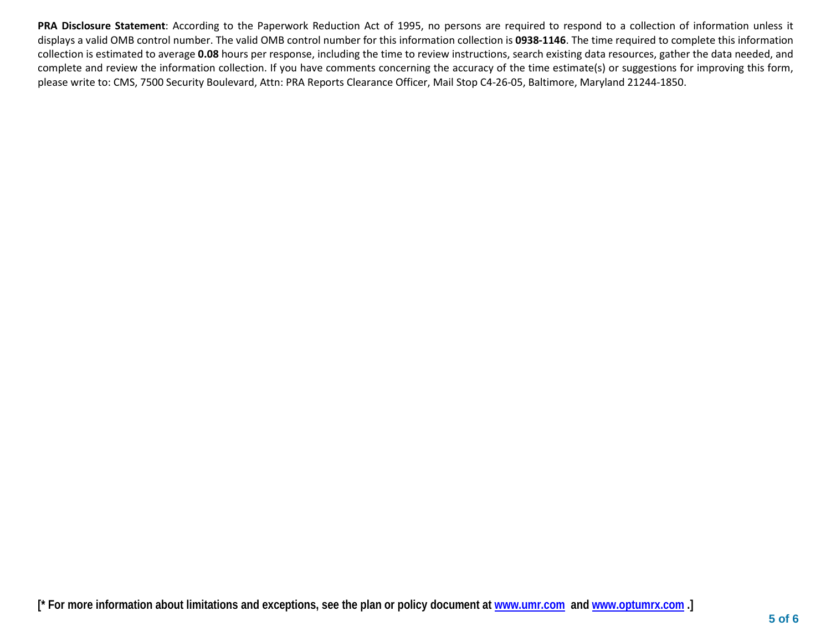**PRA Disclosure Statement**: According to the Paperwork Reduction Act of 1995, no persons are required to respond to a collection of information unless it displays a valid OMB control number. The valid OMB control number for this information collection is **0938-1146**. The time required to complete this information collection is estimated to average **0.08** hours per response, including the time to review instructions, search existing data resources, gather the data needed, and complete and review the information collection. If you have comments concerning the accuracy of the time estimate(s) or suggestions for improving this form, please write to: CMS, 7500 Security Boulevard, Attn: PRA Reports Clearance Officer, Mail Stop C4-26-05, Baltimore, Maryland 21244-1850.